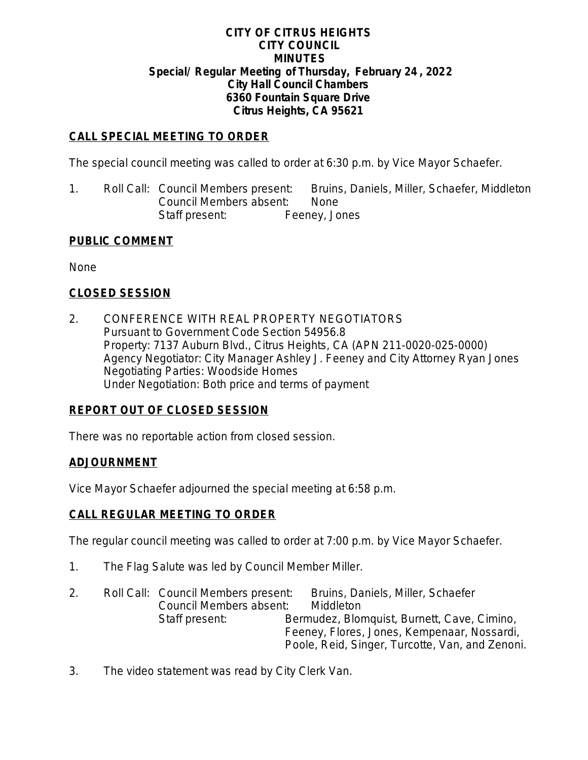#### **CITY OF CITRUS HEIGHTS CITY COUNCIL MINUTES Special/ Regular Meeting of Thursday, February 24 , 2022 City Hall Council Chambers 6360 Fountain Square Drive Citrus Heights, CA 95621**

### **CALL SPECIAL MEETING TO ORDER**

The special council meeting was called to order at 6:30 p.m. by Vice Mayor Schaefer.

1. Roll Call: Council Members present: Bruins, Daniels, Miller, Schaefer, Middleton Council Members absent: None Staff present: Feeney, Jones

#### **PUBLIC COMMENT**

None

#### **CLOSED SESSION**

2. CONFERENCE WITH REAL PROPERTY NEGOTIATORS Pursuant to Government Code Section 54956.8 Property: 7137 Auburn Blvd., Citrus Heights, CA (APN 211-0020-025-0000) Agency Negotiator: City Manager Ashley J. Feeney and City Attorney Ryan Jones Negotiating Parties: Woodside Homes Under Negotiation: Both price and terms of payment

#### **REPORT OUT OF CLOSED SESSION**

There was no reportable action from closed session.

#### **ADJOURNMENT**

Vice Mayor Schaefer adjourned the special meeting at 6:58 p.m.

#### **CALL REGULAR MEETING TO ORDER**

The regular council meeting was called to order at 7:00 p.m. by Vice Mayor Schaefer.

- 1. The Flag Salute was led by Council Member Miller.
- 2. Roll Call: Council Members present: Bruins, Daniels, Miller, Schaefer Council Members absent: Middleton Staff present: Bermudez, Blomquist, Burnett, Cave, Cimino, Feeney, Flores, Jones, Kempenaar, Nossardi, Poole, Reid, Singer, Turcotte, Van, and Zenoni.
- 3. The video statement was read by City Clerk Van.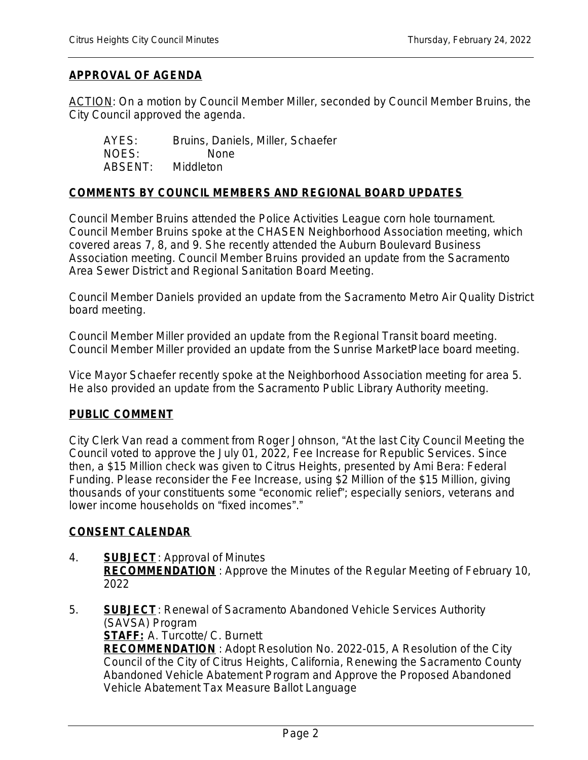### **APPROVAL OF AGENDA**

ACTION: On a motion by Council Member Miller, seconded by Council Member Bruins, the City Council approved the agenda.

| AYES:   | Bruins, Daniels, Miller, Schaefer |
|---------|-----------------------------------|
| NOES:   | <b>None</b>                       |
| ABSENT: | <b>Middleton</b>                  |

#### **COMMENTS BY COUNCIL MEMBERS AND REGIONAL BOARD UPDATES**

Council Member Bruins attended the Police Activities League corn hole tournament. Council Member Bruins spoke at the CHASEN Neighborhood Association meeting, which covered areas 7, 8, and 9. She recently attended the Auburn Boulevard Business Association meeting. Council Member Bruins provided an update from the Sacramento Area Sewer District and Regional Sanitation Board Meeting.

Council Member Daniels provided an update from the Sacramento Metro Air Quality District board meeting.

Council Member Miller provided an update from the Regional Transit board meeting. Council Member Miller provided an update from the Sunrise MarketPlace board meeting.

Vice Mayor Schaefer recently spoke at the Neighborhood Association meeting for area 5. He also provided an update from the Sacramento Public Library Authority meeting.

#### **PUBLIC COMMENT**

City Clerk Van read a comment from Roger Johnson, "At the last City Council Meeting the Council voted to approve the July 01, 2022, Fee Increase for Republic Services. Since then, a \$15 Million check was given to Citrus Heights, presented by Ami Bera: Federal Funding. Please reconsider the Fee Increase, using \$2 Million of the \$15 Million, giving thousands of your constituents some "economic relief"; especially seniors, veterans and lower income households on "fixed incomes"."

#### **CONSENT CALENDAR**

- 4. **SUBJECT**: Approval of Minutes **RECOMMENDATION** : Approve the Minutes of the Regular Meeting of February 10, 2022
- 5. **SUBJECT**: Renewal of Sacramento Abandoned Vehicle Services Authority (SAVSA) Program **STAFF:** A. Turcotte/ C. Burnett **RECOMMENDATION** : Adopt Resolution No. 2022-015, A Resolution of the City Council of the City of Citrus Heights, California, Renewing the Sacramento County Abandoned Vehicle Abatement Program and Approve the Proposed Abandoned Vehicle Abatement Tax Measure Ballot Language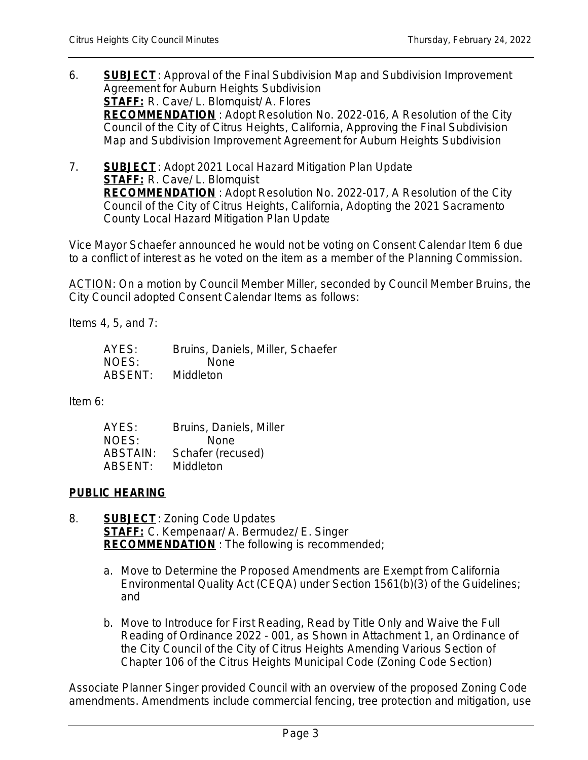- 6. **SUBJECT**: Approval of the Final Subdivision Map and Subdivision Improvement Agreement for Auburn Heights Subdivision **STAFF:** R. Cave/ L. Blomquist/ A. Flores **RECOMMENDATION** : Adopt Resolution No. 2022-016, A Resolution of the City Council of the City of Citrus Heights, California, Approving the Final Subdivision Map and Subdivision Improvement Agreement for Auburn Heights Subdivision
- 7. **SUBJECT**: Adopt 2021 Local Hazard Mitigation Plan Update **STAFF:** R. Cave/ L. Blomquist **RECOMMENDATION** : Adopt Resolution No. 2022-017, A Resolution of the City Council of the City of Citrus Heights, California, Adopting the 2021 Sacramento County Local Hazard Mitigation Plan Update

Vice Mayor Schaefer announced he would not be voting on Consent Calendar Item 6 due to a conflict of interest as he voted on the item as a member of the Planning Commission.

ACTION: On a motion by Council Member Miller, seconded by Council Member Bruins, the City Council adopted Consent Calendar Items as follows:

Items 4, 5, and 7:

| AYES:   | Bruins, Daniels, Miller, Schaefer |
|---------|-----------------------------------|
| NOES:   | <b>None</b>                       |
| ABSENT: | Middleton                         |

Item 6:

| AYES:    | Bruins, Daniels, Miller |
|----------|-------------------------|
| NOES:    | <b>None</b>             |
| ABSTAIN: | Schafer (recused)       |
| ABSENT:  | Middleton               |

## **PUBLIC HEARING**

- 8. **SUBJECT**: Zoning Code Updates **STAFF:** C. Kempenaar/ A. Bermudez/ E. Singer **RECOMMENDATION** : The following is recommended;
	- a. Move to Determine the Proposed Amendments are Exempt from California Environmental Quality Act (CEQA) under Section 1561(b)(3) of the Guidelines; and
	- b. Move to Introduce for First Reading, Read by Title Only and Waive the Full Reading of Ordinance 2022 - 001, as Shown in Attachment 1, an Ordinance of the City Council of the City of Citrus Heights Amending Various Section of Chapter 106 of the Citrus Heights Municipal Code (Zoning Code Section)

Associate Planner Singer provided Council with an overview of the proposed Zoning Code amendments. Amendments include commercial fencing, tree protection and mitigation, use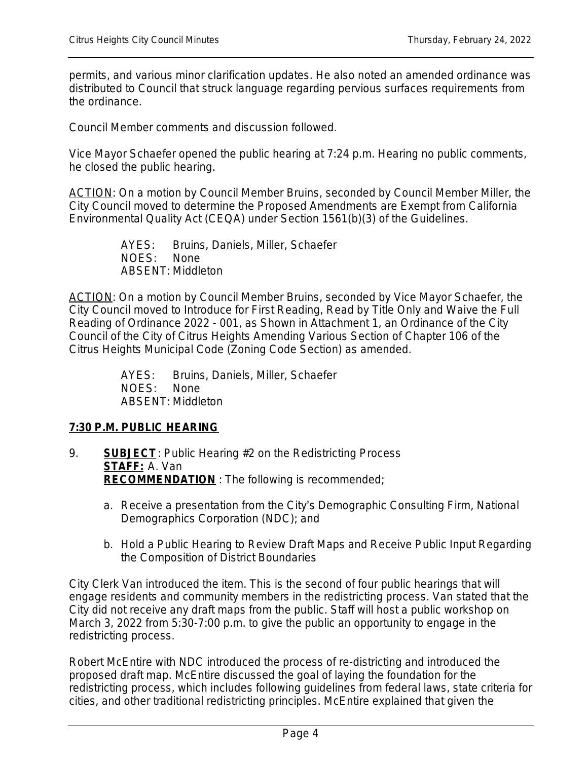permits, and various minor clarification updates. He also noted an amended ordinance was distributed to Council that struck language regarding pervious surfaces requirements from the ordinance.

Council Member comments and discussion followed.

Vice Mayor Schaefer opened the public hearing at 7:24 p.m. Hearing no public comments, he closed the public hearing.

ACTION: On a motion by Council Member Bruins, seconded by Council Member Miller, the City Council moved to determine the Proposed Amendments are Exempt from California Environmental Quality Act (CEQA) under Section 1561(b)(3) of the Guidelines.

> AYES: Bruins, Daniels, Miller, Schaefer NOES: None ABSENT: Middleton

ACTION: On a motion by Council Member Bruins, seconded by Vice Mayor Schaefer, the City Council moved to Introduce for First Reading, Read by Title Only and Waive the Full Reading of Ordinance 2022 - 001, as Shown in Attachment 1, an Ordinance of the City Council of the City of Citrus Heights Amending Various Section of Chapter 106 of the Citrus Heights Municipal Code (Zoning Code Section) as amended.

> AYES: Bruins, Daniels, Miller, Schaefer NOES: None ABSENT: Middleton

#### **7:30 P.M. PUBLIC HEARING**

- 9. **SUBJECT**: Public Hearing #2 on the Redistricting Process **STAFF:** A. Van **RECOMMENDATION** : The following is recommended;
	- a. Receive a presentation from the City's Demographic Consulting Firm, National Demographics Corporation (NDC); and
	- b. Hold a Public Hearing to Review Draft Maps and Receive Public Input Regarding the Composition of District Boundaries

City Clerk Van introduced the item. This is the second of four public hearings that will engage residents and community members in the redistricting process. Van stated that the City did not receive any draft maps from the public. Staff will host a public workshop on March 3, 2022 from 5:30-7:00 p.m. to give the public an opportunity to engage in the redistricting process.

Robert McEntire with NDC introduced the process of re-districting and introduced the proposed draft map. McEntire discussed the goal of laying the foundation for the redistricting process, which includes following guidelines from federal laws, state criteria for cities, and other traditional redistricting principles. McEntire explained that given the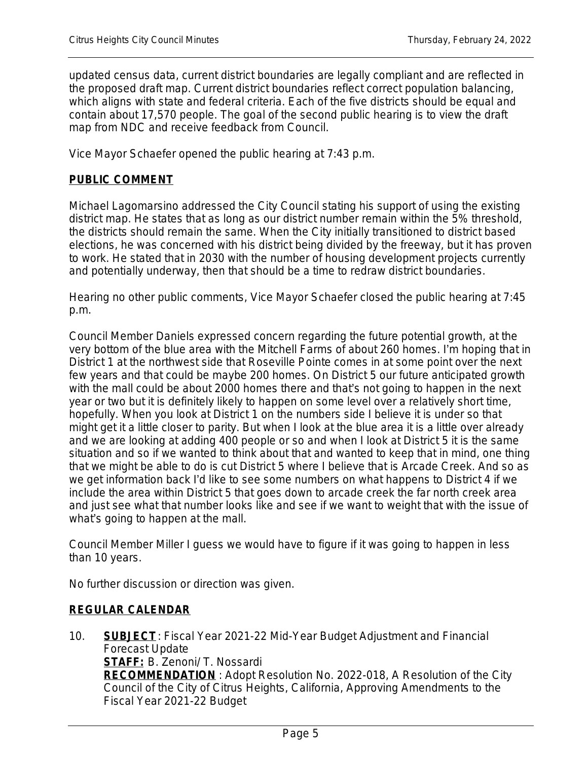updated census data, current district boundaries are legally compliant and are reflected in the proposed draft map. Current district boundaries reflect correct population balancing, which aligns with state and federal criteria. Each of the five districts should be equal and contain about 17,570 people. The goal of the second public hearing is to view the draft map from NDC and receive feedback from Council.

Vice Mayor Schaefer opened the public hearing at 7:43 p.m.

#### **PUBLIC COMMENT**

Michael Lagomarsino addressed the City Council stating his support of using the existing district map. He states that as long as our district number remain within the 5% threshold, the districts should remain the same. When the City initially transitioned to district based elections, he was concerned with his district being divided by the freeway, but it has proven to work. He stated that in 2030 with the number of housing development projects currently and potentially underway, then that should be a time to redraw district boundaries.

Hearing no other public comments, Vice Mayor Schaefer closed the public hearing at 7:45 p.m.

Council Member Daniels expressed concern regarding the future potential growth, at the very bottom of the blue area with the Mitchell Farms of about 260 homes. I'm hoping that in District 1 at the northwest side that Roseville Pointe comes in at some point over the next few years and that could be maybe 200 homes. On District 5 our future anticipated growth with the mall could be about 2000 homes there and that's not going to happen in the next year or two but it is definitely likely to happen on some level over a relatively short time, hopefully. When you look at District 1 on the numbers side I believe it is under so that might get it a little closer to parity. But when I look at the blue area it is a little over already and we are looking at adding 400 people or so and when I look at District 5 it is the same situation and so if we wanted to think about that and wanted to keep that in mind, one thing that we might be able to do is cut District 5 where I believe that is Arcade Creek. And so as we get information back I'd like to see some numbers on what happens to District 4 if we include the area within District 5 that goes down to arcade creek the far north creek area and just see what that number looks like and see if we want to weight that with the issue of what's going to happen at the mall.

Council Member Miller I guess we would have to figure if it was going to happen in less than 10 years.

No further discussion or direction was given.

#### **REGULAR CALENDAR**

10. **SUBJECT**: Fiscal Year 2021-22 Mid-Year Budget Adjustment and Financial Forecast Update **STAFF:** B. Zenoni/ T. Nossardi **RECOMMENDATION** : Adopt Resolution No. 2022-018, A Resolution of the City Council of the City of Citrus Heights, California, Approving Amendments to the Fiscal Year 2021-22 Budget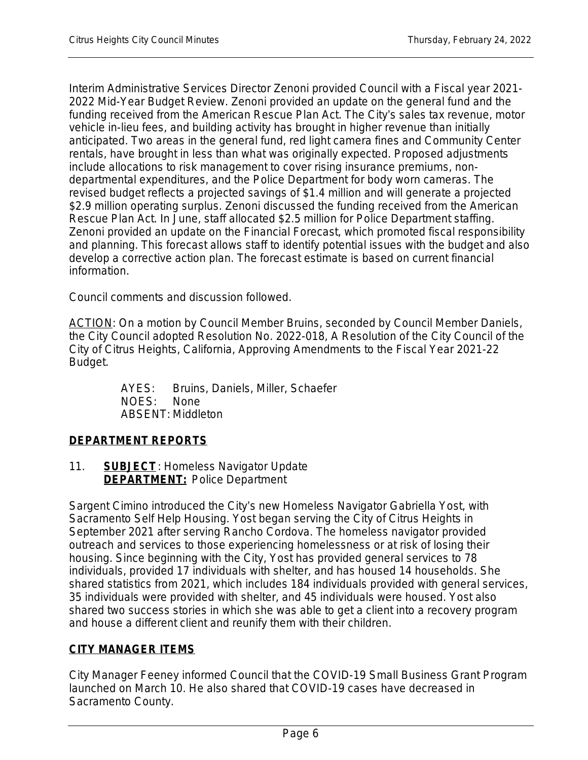Interim Administrative Services Director Zenoni provided Council with a Fiscal year 2021- 2022 Mid-Year Budget Review. Zenoni provided an update on the general fund and the funding received from the American Rescue Plan Act. The City's sales tax revenue, motor vehicle in-lieu fees, and building activity has brought in higher revenue than initially anticipated. Two areas in the general fund, red light camera fines and Community Center rentals, have brought in less than what was originally expected. Proposed adjustments include allocations to risk management to cover rising insurance premiums, nondepartmental expenditures, and the Police Department for body worn cameras. The revised budget reflects a projected savings of \$1.4 million and will generate a projected \$2.9 million operating surplus. Zenoni discussed the funding received from the American Rescue Plan Act. In June, staff allocated \$2.5 million for Police Department staffing. Zenoni provided an update on the Financial Forecast, which promoted fiscal responsibility and planning. This forecast allows staff to identify potential issues with the budget and also develop a corrective action plan. The forecast estimate is based on current financial information.

Council comments and discussion followed.

ACTION: On a motion by Council Member Bruins, seconded by Council Member Daniels, the City Council adopted Resolution No. 2022-018, A Resolution of the City Council of the City of Citrus Heights, California, Approving Amendments to the Fiscal Year 2021-22 Budget.

> AYES: Bruins, Daniels, Miller, Schaefer NOES: None ABSENT: Middleton

# **DEPARTMENT REPORTS**

11. **SUBJECT**: Homeless Navigator Update **DEPARTMENT:** Police Department

Sargent Cimino introduced the City's new Homeless Navigator Gabriella Yost, with Sacramento Self Help Housing. Yost began serving the City of Citrus Heights in September 2021 after serving Rancho Cordova. The homeless navigator provided outreach and services to those experiencing homelessness or at risk of losing their housing. Since beginning with the City, Yost has provided general services to 78 individuals, provided 17 individuals with shelter, and has housed 14 households. She shared statistics from 2021, which includes 184 individuals provided with general services, 35 individuals were provided with shelter, and 45 individuals were housed. Yost also shared two success stories in which she was able to get a client into a recovery program and house a different client and reunify them with their children.

## **CITY MANAGER ITEMS**

City Manager Feeney informed Council that the COVID-19 Small Business Grant Program launched on March 10. He also shared that COVID-19 cases have decreased in Sacramento County.